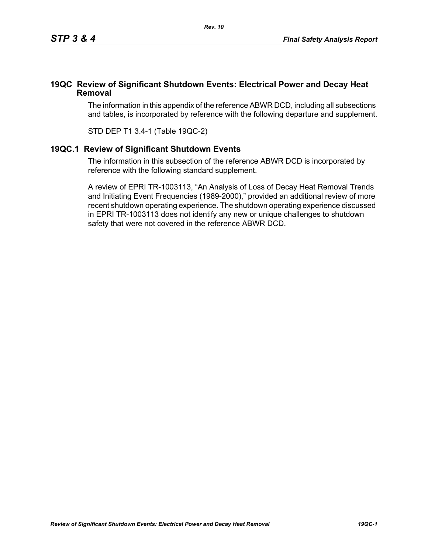## **19QC Review of Significant Shutdown Events: Electrical Power and Decay Heat Removal**

The information in this appendix of the reference ABWR DCD, including all subsections and tables, is incorporated by reference with the following departure and supplement.

STD DEP T1 3.4-1 (Table 19QC-2)

## **19QC.1 Review of Significant Shutdown Events**

The information in this subsection of the reference ABWR DCD is incorporated by reference with the following standard supplement.

A review of EPRI TR-1003113, "An Analysis of Loss of Decay Heat Removal Trends and Initiating Event Frequencies (1989-2000)," provided an additional review of more recent shutdown operating experience. The shutdown operating experience discussed in EPRI TR-1003113 does not identify any new or unique challenges to shutdown safety that were not covered in the reference ABWR DCD.